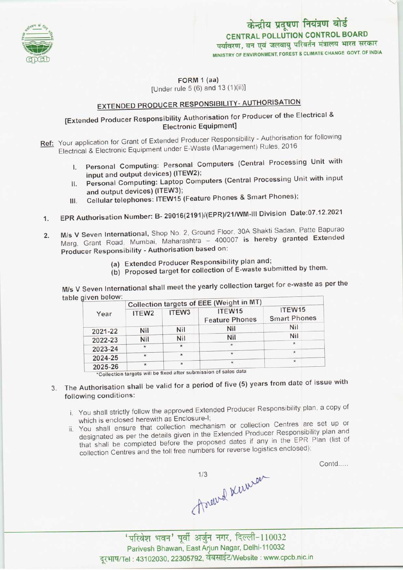

## CENTRAL POLLUTION CONTROL BOARD पर्यावरण, वन एवं जलवायु परिवर्तन मंत्रालय भारत सरकार MINISTRY OF ENVIRONMENT, FOREST & CLIMATE CHANGE GOVT. OF INDIA केन्द्रीय प्रदूषण नियंत्रण बोर्ड

FORM 1 (aa) [Under rule 5 (6) and 13 (1)(ii)]

# EXTENDED PRODUCER RESPONSIBILITY- AUTHORISATION

## [Extended Producer Responsibility Authorisation for Producer of the Electrical & Electronic Equipment]

- Ref: Your application for Grant of Extended Producer Responsibility Authorisation for following Electrical & Electronic Equipment under E-Waste (Management) Rules, 2016
	- I. Personal Computing: Personal Computers (Central Processing Unit with input and output devices) (ITEW2);
	- II. Personal Computing: Laptop Computers (Central Processing Unit with input and output devices) (ITEW3);
	- III. Cellular telephones: ITEW15 (Feature Phones & Smart Phones);
- 1.EPR Authorisation Number: B- 29016(2191)/(EPR)/21/WM-lll Division Date:07.12.2021
- 2. EPR Authorisation Number: B- 29016(2191)/(EPR)/21/WM-III Division Date:07.12.2021<br>2. M/s V Seven International, Shop No. 2, Ground Floor, 30A Shakti Sadan, Patte Bapurao M/s V Seven International, Shop No. 2, Ground Floor, 30A Shakti Sadan, Patte Bapurac<br>Marg, Grant, Road, Mumbai, Maharashtra – 400007 is hereby granted Extended Marg, Grant Road, Mumbai, Maharashtra - 400007 is hereby granted Extended<br>Producer Responsibility - Authorisation based on:
	- (a) Extended Producer Responsibility plan and;
	- (b) Proposed target for collection of E-waste submitted by them.

M/s V Seven International shall meet the yearly collection target for e-waste as per the table given below:

| given below. | Collection targets of EEE (Weight in MT) |                   |                                 |                               |
|--------------|------------------------------------------|-------------------|---------------------------------|-------------------------------|
| Year         | ITEW <sub>2</sub>                        | ITEW <sub>3</sub> | ITEW15<br><b>Feature Phones</b> | ITEW15<br><b>Smart Phones</b> |
| 2021-22      | Nil                                      | Nil               | Nil                             | Nil                           |
| 2022-23      | Nil                                      | Nil               | Nil                             | Nil                           |
| 2023-24      | $\star$                                  | $\star$           | $\mathcal{H}$                   | $\star$                       |
| 2024-25      | $\star$                                  | $^{\star}$        | $\star$                         | $\star$                       |
| 2025-26      |                                          | $\star$           | $\star$                         | $\star$                       |

- 3. The Authorisation shall be valid for a period of five (5) years from date of issue with following conditions:
	- i. You shall strictly follow the approved Extended Producer Responsibility plan, a copy of which is enclosed herewith as Enclosure-I;
	- ii, You shall ensure that collection mechanism or collection Centres are set up or designated as per the details given in the Extended Producer Responsibility plan and that shall be completed before the proposed dates if any in the EPR Plan (list of collection Centres and the toll free numbers for reverse logistics enclosed);

Contd.....

Trocewed Kumen

'परिवेश भवन' पूर्वी अर्जुन नगर, दिल्ली-110032<br>Parivesh Bhawan, East Arjun Nagar, Delhi-110032 दूरभाष/Tel: 43102030, 22305792, वेबसाईट/Website : www.cpcb.nic.in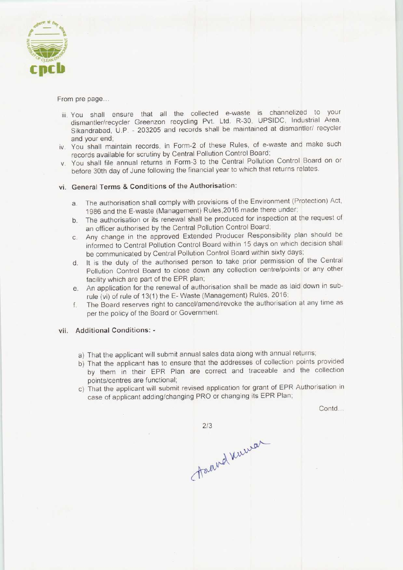

#### From pre page..,

- iii. You shall ensure that all the collected e-waste is channelized to your dismantler/recycler Greenzon recycling Pvt. Ltd. R-30, UPSIDC, Industrial Area, Sikandrabad, U.P. - 203205 and records shall be maintained at dismantler/ recycler and your end;
- iv. You shall maintain records, in Form-2 of these Rules, of e-waste and make such records available for scrutiny by Central Pollution Control Board;
- v. You shall file annual returns in Form-3 to the Central Pollution Control Board on or before 30th day of June following the financial year to which that returns relates.

### vi. General Terms & Conditions of the Authorisation:

- a.The authorisation shall comply with provisions of the Environment (Protection) Act, 1986 and the E-waste (Management) Rules,2016 made there under;
- b.The authorisation or its renewal shall be produced for inspection at the request of an officer authorised by the Central Pollution Control Board;
- c.Any change in the approved Extended Producer Responsibility plan should be informed to Central Pollution Control Board within 15 days on which decision shall be communicated by Central Pollution Control Board within sixty days;
- d. It is the duty of the authorised person to take prior permission of the Central Pollution Control Board to close down any collection centre/points or any other facility which are part of the EPR plan;
- e.An application for the renewal of authorisation shall be made as laid down in subrule (vi) of rule of 13(1) the E-Waste (Management) Rules, 2016;
- f.The Board reserves right to cancel/amend/revoke the authorisation at any time as per the policy of the Board or Government.

#### vii. Additional Conditions: -

- a) That the applicant will submit annual sales data along with annual returns;
- b) That the applicant has to ensure that the addresses of collection points provided by them in their EPR Plan are correct and traceable and the collection points/centres are functional;
- c) That the applicant will submit revised application for grant of EPR Authorisation in case of applicant adding/changing PRO or changing its EPR Plan;

Contd...

 $2/3$ 

Assaud Kurner